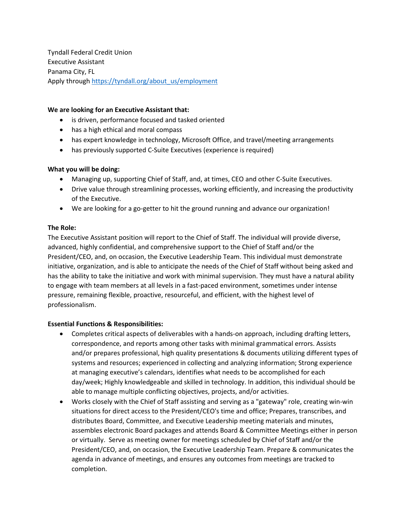Tyndall Federal Credit Union Executive Assistant Panama City, FL Apply through [https://tyndall.org/about\\_us/employment](https://tyndall.org/about_us/employment)

### **We are looking for an Executive Assistant that:**

- is driven, performance focused and tasked oriented
- has a high ethical and moral compass
- has expert knowledge in technology, Microsoft Office, and travel/meeting arrangements
- has previously supported C-Suite Executives (experience is required)

### **What you will be doing:**

- Managing up, supporting Chief of Staff, and, at times, CEO and other C-Suite Executives.
- Drive value through streamlining processes, working efficiently, and increasing the productivity of the Executive.
- We are looking for a go-getter to hit the ground running and advance our organization!

## **The Role:**

The Executive Assistant position will report to the Chief of Staff. The individual will provide diverse, advanced, highly confidential, and comprehensive support to the Chief of Staff and/or the President/CEO, and, on occasion, the Executive Leadership Team. This individual must demonstrate initiative, organization, and is able to anticipate the needs of the Chief of Staff without being asked and has the ability to take the initiative and work with minimal supervision. They must have a natural ability to engage with team members at all levels in a fast-paced environment, sometimes under intense pressure, remaining flexible, proactive, resourceful, and efficient, with the highest level of professionalism.

## **Essential Functions & Responsibilities:**

- Completes critical aspects of deliverables with a hands-on approach, including drafting letters, correspondence, and reports among other tasks with minimal grammatical errors. Assists and/or prepares professional, high quality presentations & documents utilizing different types of systems and resources; experienced in collecting and analyzing information; Strong experience at managing executive's calendars, identifies what needs to be accomplished for each day/week; Highly knowledgeable and skilled in technology. In addition, this individual should be able to manage multiple conflicting objectives, projects, and/or activities.
- Works closely with the Chief of Staff assisting and serving as a "gateway" role, creating win-win situations for direct access to the President/CEO's time and office; Prepares, transcribes, and distributes Board, Committee, and Executive Leadership meeting materials and minutes, assembles electronic Board packages and attends Board & Committee Meetings either in person or virtually. Serve as meeting owner for meetings scheduled by Chief of Staff and/or the President/CEO, and, on occasion, the Executive Leadership Team. Prepare & communicates the agenda in advance of meetings, and ensures any outcomes from meetings are tracked to completion.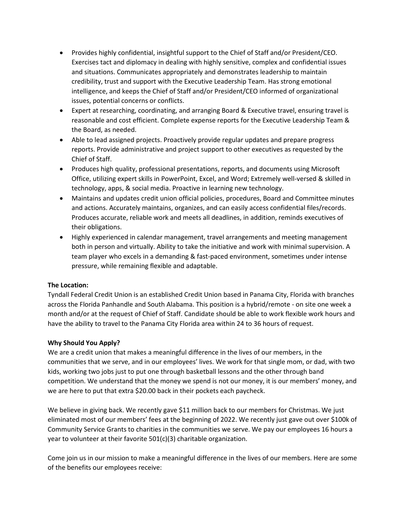- Provides highly confidential, insightful support to the Chief of Staff and/or President/CEO. Exercises tact and diplomacy in dealing with highly sensitive, complex and confidential issues and situations. Communicates appropriately and demonstrates leadership to maintain credibility, trust and support with the Executive Leadership Team. Has strong emotional intelligence, and keeps the Chief of Staff and/or President/CEO informed of organizational issues, potential concerns or conflicts.
- Expert at researching, coordinating, and arranging Board & Executive travel, ensuring travel is reasonable and cost efficient. Complete expense reports for the Executive Leadership Team & the Board, as needed.
- Able to lead assigned projects. Proactively provide regular updates and prepare progress reports. Provide administrative and project support to other executives as requested by the Chief of Staff.
- Produces high quality, professional presentations, reports, and documents using Microsoft Office, utilizing expert skills in PowerPoint, Excel, and Word; Extremely well-versed & skilled in technology, apps, & social media. Proactive in learning new technology.
- Maintains and updates credit union official policies, procedures, Board and Committee minutes and actions. Accurately maintains, organizes, and can easily access confidential files/records. Produces accurate, reliable work and meets all deadlines, in addition, reminds executives of their obligations.
- Highly experienced in calendar management, travel arrangements and meeting management both in person and virtually. Ability to take the initiative and work with minimal supervision. A team player who excels in a demanding & fast-paced environment, sometimes under intense pressure, while remaining flexible and adaptable.

# **The Location:**

Tyndall Federal Credit Union is an established Credit Union based in Panama City, Florida with branches across the Florida Panhandle and South Alabama. This position is a hybrid/remote - on site one week a month and/or at the request of Chief of Staff. Candidate should be able to work flexible work hours and have the ability to travel to the Panama City Florida area within 24 to 36 hours of request.

# **Why Should You Apply?**

We are a credit union that makes a meaningful difference in the lives of our members, in the communities that we serve, and in our employees' lives. We work for that single mom, or dad, with two kids, working two jobs just to put one through basketball lessons and the other through band competition. We understand that the money we spend is not our money, it is our members' money, and we are here to put that extra \$20.00 back in their pockets each paycheck.

We believe in giving back. We recently gave \$11 million back to our members for Christmas. We just eliminated most of our members' fees at the beginning of 2022. We recently just gave out over \$100k of Community Service Grants to charities in the communities we serve. We pay our employees 16 hours a year to volunteer at their favorite 501(c)(3) charitable organization.

Come join us in our mission to make a meaningful difference in the lives of our members. Here are some of the benefits our employees receive: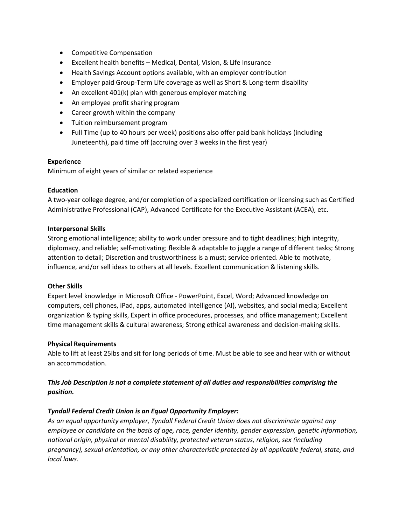- Competitive Compensation
- Excellent health benefits Medical, Dental, Vision, & Life Insurance
- Health Savings Account options available, with an employer contribution
- Employer paid Group-Term Life coverage as well as Short & Long-term disability
- An excellent 401(k) plan with generous employer matching
- An employee profit sharing program
- Career growth within the company
- Tuition reimbursement program
- Full Time (up to 40 hours per week) positions also offer paid bank holidays (including Juneteenth), paid time off (accruing over 3 weeks in the first year)

### **Experience**

Minimum of eight years of similar or related experience

### **Education**

A two-year college degree, and/or completion of a specialized certification or licensing such as Certified Administrative Professional (CAP), Advanced Certificate for the Executive Assistant (ACEA), etc.

### **Interpersonal Skills**

Strong emotional intelligence; ability to work under pressure and to tight deadlines; high integrity, diplomacy, and reliable; self-motivating; flexible & adaptable to juggle a range of different tasks; Strong attention to detail; Discretion and trustworthiness is a must; service oriented. Able to motivate, influence, and/or sell ideas to others at all levels. Excellent communication & listening skills.

#### **Other Skills**

Expert level knowledge in Microsoft Office - PowerPoint, Excel, Word; Advanced knowledge on computers, cell phones, iPad, apps, automated intelligence (AI), websites, and social media; Excellent organization & typing skills, Expert in office procedures, processes, and office management; Excellent time management skills & cultural awareness; Strong ethical awareness and decision-making skills.

#### **Physical Requirements**

Able to lift at least 25lbs and sit for long periods of time. Must be able to see and hear with or without an accommodation.

# *This Job Description is not a complete statement of all duties and responsibilities comprising the position.*

## *Tyndall Federal Credit Union is an Equal Opportunity Employer:*

*As an equal opportunity employer, Tyndall Federal Credit Union does not discriminate against any employee or candidate on the basis of age, race, gender identity, gender expression, genetic information, national origin, physical or mental disability, protected veteran status, religion, sex (including pregnancy), sexual orientation, or any other characteristic protected by all applicable federal, state, and local laws.*